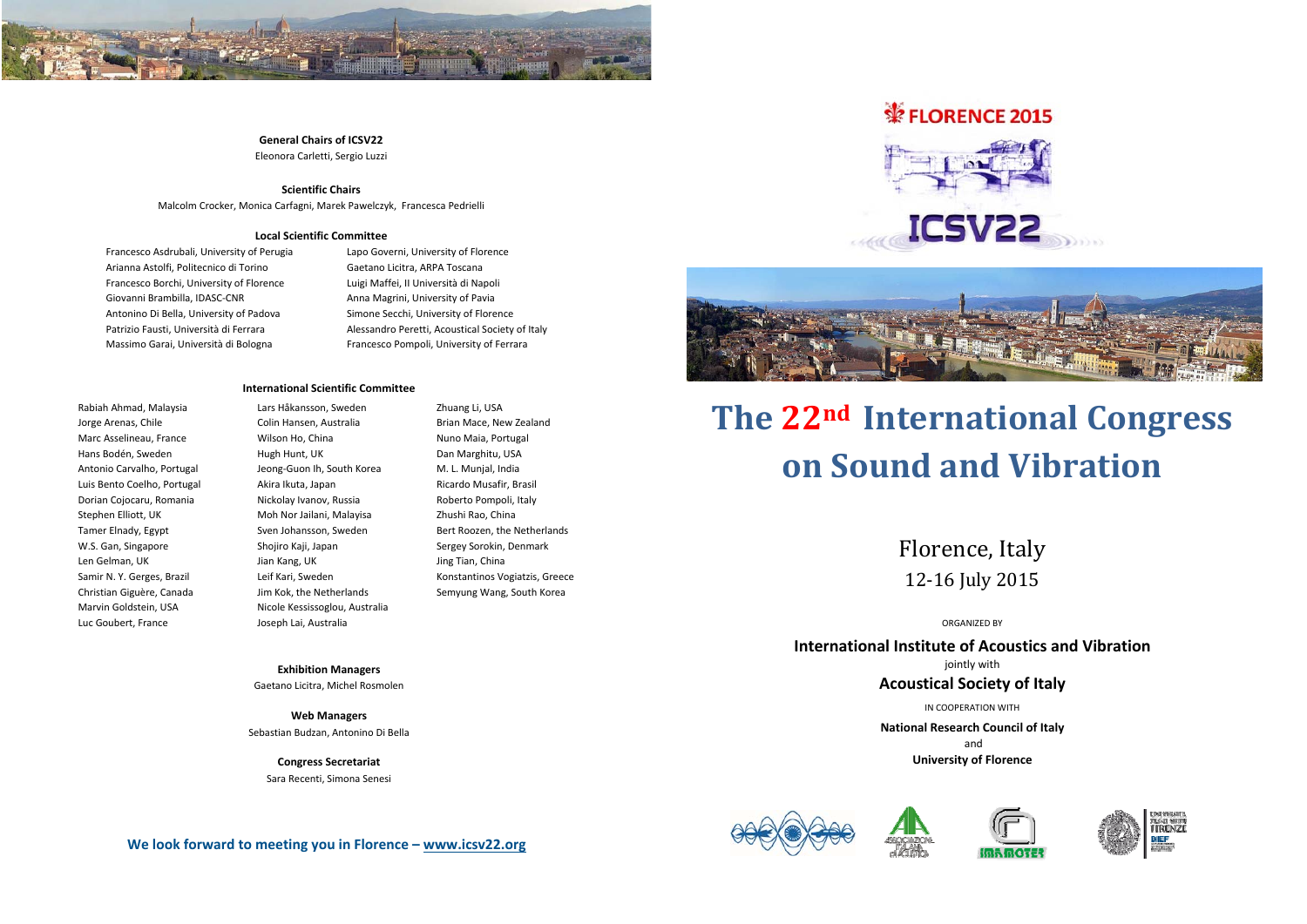

## **General Chairs of ICSV22**

Eleonora Carletti, Sergio Luzzi

### **Scientific Chairs**

Malcolm Crocker, Monica Carfagni, Marek Pawelczyk, Francesca Pedrielli

### **Local Scientific Committee**

Francesco Asdrubali, University of Perugia Arianna Astolfi, Politecnico di Torino Francesco Borchi, University of Florence Giovanni Brambilla, IDASC‐CNR Antonino Di Bella, University of Padova Patrizio Fausti, Università di Ferrara Massimo Garai, Università di Bologna

Lapo Governi, University of Florence Gaetano Licitra, ARPA Toscana Luigi Maffei, II Università di Napoli Anna Magrini, University of Pavia Simone Secchi, University of Florence Alessandro Peretti, Acoustical Society of Italy Francesco Pompoli, University of Ferrara

#### **International Scientific Committee**

Rabiah Ahmad, Malaysia Jorge Arenas, Chile Marc Asselineau, France Hans Bodén, Sweden Antonio Carvalho, Portugal Luis Bento Coelho, Portugal Dorian Cojocaru, Romania Stephen Elliott, UK Tamer Elnady, Egypt W.S. Gan, Singapore Len Gelman, UK Samir N. Y. Gerges, Brazil Christian Giguère, Canada Marvin Goldstein, USA Luc Goubert, France

Lars Håkansson, Sweden Colin Hansen, Australia Wilson Ho, China Hugh Hunt, UK Jeong‐Guon Ih, South Korea Akira Ikuta, Japan Nickolay Ivanov, Russia Moh Nor Jailani, Malayisa Sven Johansson, Sweden Shojiro Kaji, Japan Jian Kang, UK Leif Kari, Sweden Jim Kok, the Netherlands Nicole Kessissoglou, Australia Joseph Lai, Australia

Zhuang Li, USA Brian Mace, New Zealand Nuno Maia, Portugal Dan Marghitu, USA M. L. Munjal, India Ricardo Musafir, Brasil Roberto Pompoli, Italy Zhushi Rao, China Bert Roozen, the Netherlands Sergey Sorokin, Denmark Jing Tian, China Konstantinos Vogiatzis, Greece Semyung Wang, South Korea

**Exhibition Managers** Gaetano Licitra, Michel Rosmolen

**Web Managers** Sebastian Budzan, Antonino Di Bella

> **Congress Secretariat** Sara Recenti, Simona Senesi

# FLORENCE 2015





# **The 22nd International Congress on Sound and Vibration**

Florence, Italy 12‐16 July 2015 

ORGANIZED BY

**International Institute of Acoustics and Vibration** jointly with

### **Acoustical Society of Italy**

IN COOPERATION WITH

**National Research Council of Italy** and **University of Florence**







**We look forward to meeting you in Florence – www.icsv22.org**